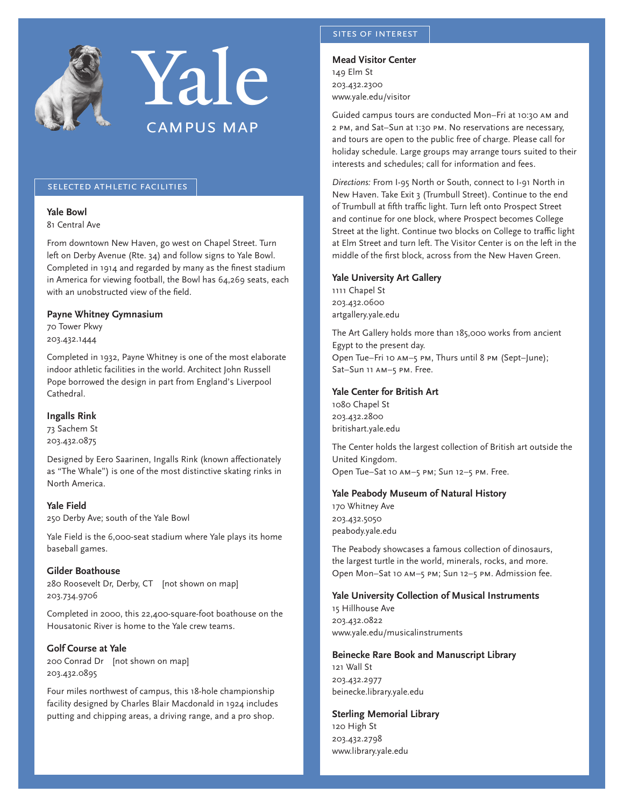



## selected athletic facilities

## **Yale Bowl**

81 Central Ave

From downtown New Haven, go west on Chapel Street. Turn left on Derby Avenue (Rte. 34) and follow signs to Yale Bowl. Completed in 1914 and regarded by many as the finest stadium in America for viewing football, the Bowl has 64,269 seats, each with an unobstructed view of the field.

## **Payne Whitney Gymnasium**

70 Tower Pkwy 203.432.1444

Completed in 1932, Payne Whitney is one of the most elaborate indoor athletic facilities in the world. Architect John Russell Pope borrowed the design in part from England's Liverpool Cathedral.

#### **Ingalls Rink**

73 Sachem St 203.432.0875

Designed by Eero Saarinen, Ingalls Rink (known affectionately as "The Whale") is one of the most distinctive skating rinks in North America.

**Yale Field** 250 Derby Ave; south of the Yale Bowl

Yale Field is the 6,000-seat stadium where Yale plays its home baseball games.

## **Gilder Boathouse**

280 Roosevelt Dr, Derby, CT [not shown on map] 203.734.9706

Completed in 2000, this 22,400-square-foot boathouse on the Housatonic River is home to the Yale crew teams.

## **Golf Course at Yale**

200 Conrad Dr [not shown on map] 203.432.0895

Four miles northwest of campus, this 18-hole championship facility designed by Charles Blair Macdonald in 1924 includes putting and chipping areas, a driving range, and a pro shop.

## sites of interest

**Mead Visitor Center** 149 Elm St 203.432.2300

www.yale.edu/visitor

Guided campus tours are conducted Mon–Fri at 10:30 am and 2 pm, and Sat–Sun at 1:30 pm. No reservations are necessary, and tours are open to the public free of charge. Please call for holiday schedule. Large groups may arrange tours suited to their interests and schedules; call for information and fees.

*Directions:* From I-95 North or South, connect to I-91 North in New Haven. Take Exit 3 (Trumbull Street). Continue to the end of Trumbull at fifth traffic light. Turn left onto Prospect Street and continue for one block, where Prospect becomes College Street at the light. Continue two blocks on College to traffic light at Elm Street and turn left. The Visitor Center is on the left in the middle of the first block, across from the New Haven Green.

## **Yale University Art Gallery**

1111 Chapel St 203.432.0600 artgallery.yale.edu

The Art Gallery holds more than 185,000 works from ancient Egypt to the present day. Open Tue–Fri 10 am–5 pm, Thurs until 8 pm (Sept–June); Sat-Sun 11 AM-5 PM. Free.

## **Yale Center for British Art**

1080 Chapel St 203.432.2800 britishart.yale.edu

The Center holds the largest collection of British art outside the United Kingdom. Open Tue–Sat 10 am–5 pm; Sun 12–5 pm. Free.

## **Yale Peabody Museum of Natural History**

170 Whitney Ave 203.432.5050 peabody.yale.edu

The Peabody showcases a famous collection of dinosaurs, the largest turtle in the world, minerals, rocks, and more. Open Mon–Sat 10 am–5 pm; Sun 12–5 pm. Admission fee.

## **Yale University Collection of Musical Instruments**

15 Hillhouse Ave 203.432.0822 www.yale.edu/musicalinstruments

## **Beinecke Rare Book and Manuscript Library**

121 Wall St 203.432.2977 beinecke.library.yale.edu

## **Sterling Memorial Library**

120 High St 203.432.2798 www.library.yale.edu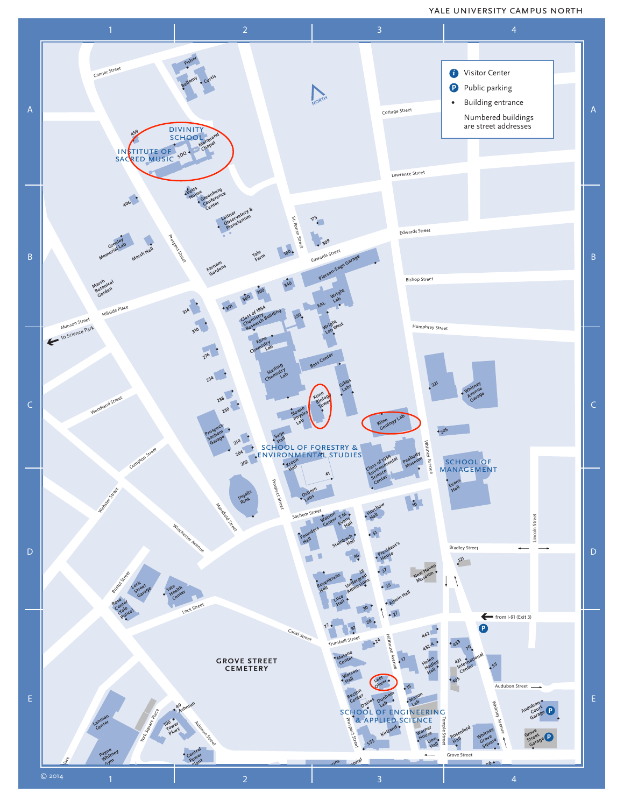## yale university campus north

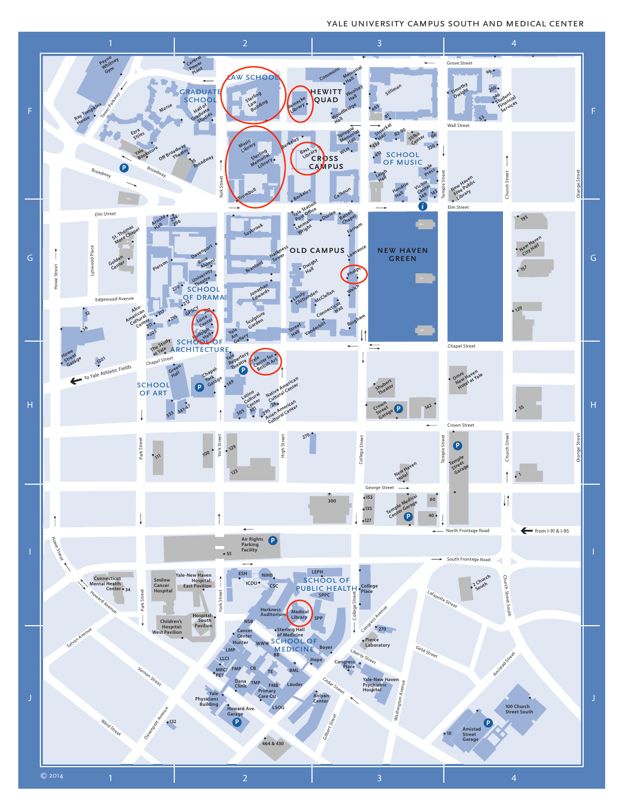# **Audubon Court Garage** yale university campus south and medical center

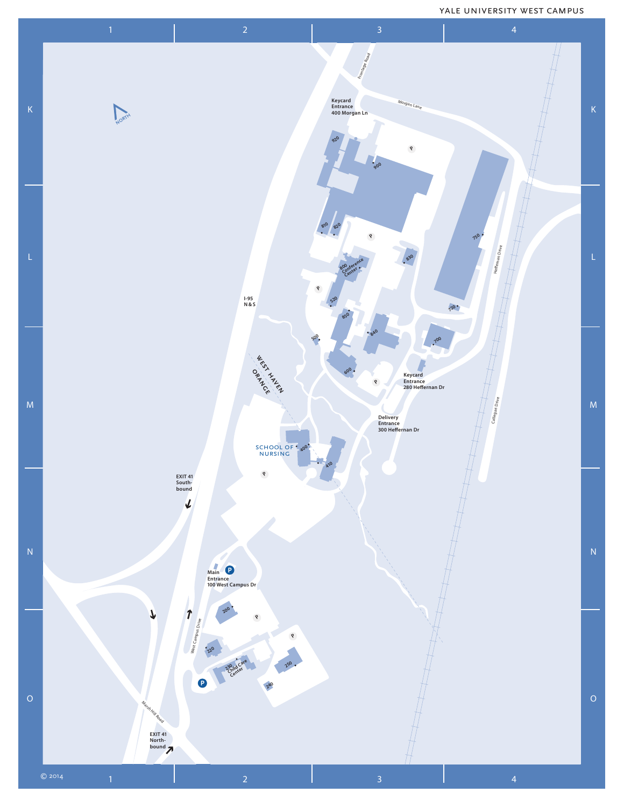## yale university west campus

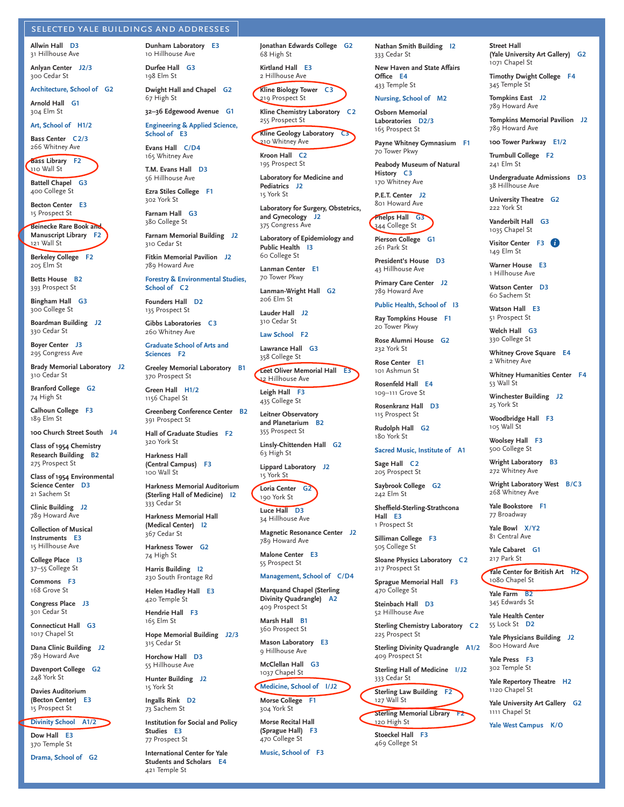#### selected yale buildings and addresses

**Allwin Hall D3** 31 Hillhouse Ave

**Anlyan Center J2/3** 300 Cedar St

#### **Architecture, School of G2**

**Arnold Hall G1** 304 Elm St

**Art, School of H1/2**

**Bass Center C2/3** 266 Whitney Ave

**Bass Library F2** 110 Wall St

**Battell Chapel G3** 400 College St

**Becton Center E3** 15 Prospect St

**Beinecke Rare Book and Manuscript Library F2** 121 Wall St

**Berkeley College F2** 205 Elm St

**Betts House B2** 393 Prospect St

**Bingham Hall G3** 300 College St

**Boardman Building J2** 330 Cedar St

**Boyer Center J3** 295 Congress Ave

**Brady Memorial Laboratory J2** 310 Cedar St

**Branford College G2** 74 High St

**Calhoun College F3** 189 Elm St

**100 Church Street South J4**

**Class of 1954 Chemistry Research Building B2** 275 Prospect St

**Class of 1954 Environmental Science Center D3** 21 Sachem St

**Clinic Building J2** 789 Howard Ave

**Collection of Musical Instruments E3** 15 Hillhouse Ave

**College Place I3** 37–55 College St

**Commons F3** 168 Grove St

**Congress Place J3** 301 Cedar St

**Connecticut Hall G3** 1017 Chapel St

**Dana Clinic Building J2** 789 Howard Ave

**Davenport College G2** 248 York St

**Davies Auditorium (Becton Center) E3** 15 Prospect St

**Divinity School A1/2**

**Dow Hall E3** 370 Temple St

**Drama, School of G2**

10 Hillhouse Ave **Durfee Hall G3** 198 Elm St

**Dunham Laboratory E3**

**Dwight Hall and Chapel G2** 67 High St

**32–36 Edgewood Avenue G1 Engineering & Applied Science, School of E3**

**Evans Hall C/D4** 165 Whitney Ave

**T.M. Evans Hall D3** 56 Hillhouse Ave

**Ezra Stiles College F1** 302 York St

**Farnam Hall G3** 380 College St

**Farnam Memorial Building J2** 310 Cedar St

**Fitkin Memorial Pavilion J2** 789 Howard Ave

**Forestry & Environmental Studies, School of C 2**

**Founders Hall D2** 135 Prospect St

**Gibbs Laboratories C 3** 260 Whitney Ave

**Graduate School of Arts and Sciences F2**

**Greeley Memorial Laboratory B1** 370 Prospect St

**Green Hall H1/2** 1156 Chapel St

**Greenberg Conference Center B2** 391 Prospect St

**Hall of Graduate Studies F2** 320 York St **Harkness Hall** 

**(Central Campus) F3** 100 Wall St **Harkness Memorial Auditorium** 

**(Sterling Hall of Medicine) I2** 333 Cedar St

**Harkness Memorial Hall (Medical Center) I2** 367 Cedar St

**Harkness Tower G2** 74 High St

**Harris Building I2** 230 South Frontage Rd

**Helen Hadley Hall E3** 420 Temple St

**Hendrie Hall F3** 165 Elm St

**Hope Memorial Building J2/3** 315 Cedar St

**Horchow Hall D3** 55 Hillhouse Ave

**Hunter Building J2** 15 York St

**Ingalls Rink D2** 73 Sachem St

**Institution for Social and Policy Studies E3** 77 Prospect St

**International Center for Yale Students and Scholars E4** 421 Temple St

**Jonathan Edwards College G2** 68 High St

**Kirtland Hall E3** 2 Hillhouse Ave

**Kline Biology Tower C3** 219 Prospect St

**Kline Chemistry Laboratory C 2** 255 Prospect St

**Kline Geology Laboratory** 210 Whitney Ave

**Kroon Hall C2** 195 Prospect St

**Laboratory for Medicine and Pediatrics J2** 15 York St

**Laboratory for Surgery, Obstetrics, and Gynecology J2** 375 Congress Ave

**Laboratory of Epidemiology and Public Health I3** 60 College St

**Lanman Center E1** 70 Tower Pkwy

**Lanman-Wright Hall G2** 206 Elm St

**Lauder Hall J2** 310 Cedar St

**Law School F2**

**Lawrance Hall G3** 358 College St

**Leet Oliver Memorial Hall E3** 12 Hillhouse Ave

**Leigh Hall F3** 435 College St

**Leitner Observatory and Planetarium B2** 355 Prospect St

**Linsly-Chittenden Hall G2** 63 High St

**Lippard Laboratory J2** 15 York St

**Loria Center G2** 190 York St

**Luce Hall D3** 34 Hillhouse Ave

**Magnetic Resonance Center J2** 789 Howard Ave

**Malone Center E3** 55 Prospect St

## **Management, School of C/D4**

**Marquand Chapel (Sterling Divinity Quadrangle) A2** 409 Prospect St

**Marsh Hall B1** 360 Prospect St

**Mason Laboratory E3** 9 Hillhouse Ave

**McClellan Hall G3** 1037 Chapel St

**Medicine, School of I/J2 Morse College F1**

304 York St

**Morse Recital Hall (Sprague Hall) F3** 470 College St

**Music, School of F3**

**Nathan Smith Building I2** 333 Cedar St

**Street Hall** 

1071 Chapel St

345 Temple St **Tompkins East J2** 789 Howard Ave

789 Howard Ave **100 Tower Parkway E1/2 Trumbull College F2** 241 Elm St

38 Hillhouse Ave **University Theatre G2** 222 York St **Vanderbilt Hall G3** 1035 Chapel St **Visitor Center F3** *i i*149 Elm St **Warner House E3** 1 Hillhouse Ave **Watson Center D3** 60 Sachem St **Watson Hall E3** 51 Prospect St **Welch Hall G3** 330 College St

**(Yale University Art Gallery) G2**

**Tompkins Memorial Pavilion J2**

**Undergraduate Admissions D3**

**Whitney Grove Square E4**

**Winchester Building J2**

**Woodbridge Hall F3** 105 Wall St **Woolsey Hall F3** 500 College St **Wright Laboratory B3** 272 Whitney Ave

268 Whitney Ave **Yale Bookstore F1** 77 Broadway **Yale Bowl X/Y2** 81 Central Ave **Yale Cabaret G1** 217 Park St

1080 Chapel St **Yale Farm B2** 345 Edwards St **Yale Health Center** 55 Lock St **D2**

**Whitney Humanities Center F4**

**Wright Laboratory West B/C3**

**Yale Center for British Art H2**

**Yale Physicians Building J2** 800 Howard Ave **Yale Press F3** 302 Temple St

**Yale Repertory Theatre H2**

**Yale West Campus K/O**

**Yale University Art Gallery G2**

1120 Chapel St

1111 Chapel St

2 Whitney Ave

53 Wall St

25 York St

**Timothy Dwight College F4**

**New Haven and State Affairs Office E4** 433 Temple St

**Nursing, School of M2 Osborn Memorial** 

70 Tower Pkwy

**History C 3** 170 Whitney Ave **P.E.T. Center J2** 801 Howard Ave **Phelps Hall G3** 344 College St **Pierson College G1** 261 Park St

**Laboratories D2/3** 165 Prospect St **Payne Whitney Gymnasium F1**

**Peabody Museum of Natural** 

**President's House D3** 43 Hillhouse Ave **Primary Care Center J2** 789 Howard Ave

**Public Health, School of I3 Ray Tompkins House F1** 20 Tower Pkwy

**Rose Alumni House G2**

**Sacred Music, Institute of A1**

**Sheffield-Sterling-Strathcona** 

**Sloane Physics Laboratory C 2**

**Sterling Chemistry Laboratory C 2**

**Sterling Divinity Quadrangle A1/2**

**Sterling Hall of Medicine I/J2**

**Sterling Memorial Library F2**

**Sterling Law Building** 127 Wall St

**Sprague Memorial Hall F3**

**Sage Hall C 2** 205 Prospect St **Saybrook College G2** 242 Elm St

**Hall E3** 1 Prospect St **Silliman College F3** 505 College St

217 Prospect St

470 College St **Steinbach Hall D3** 52 Hillhouse Ave

225 Prospect St

409 Prospect St

333 Cedar St

120 High St **Stoeckel Hall F3** 469 College St

232 York St **Rose Center E1** 101 Ashmun St **Rosenfeld Hall E4** 109–111 Grove St **Rosenkranz Hall D3** 115 Prospect St **Rudolph Hall G2** 180 York St